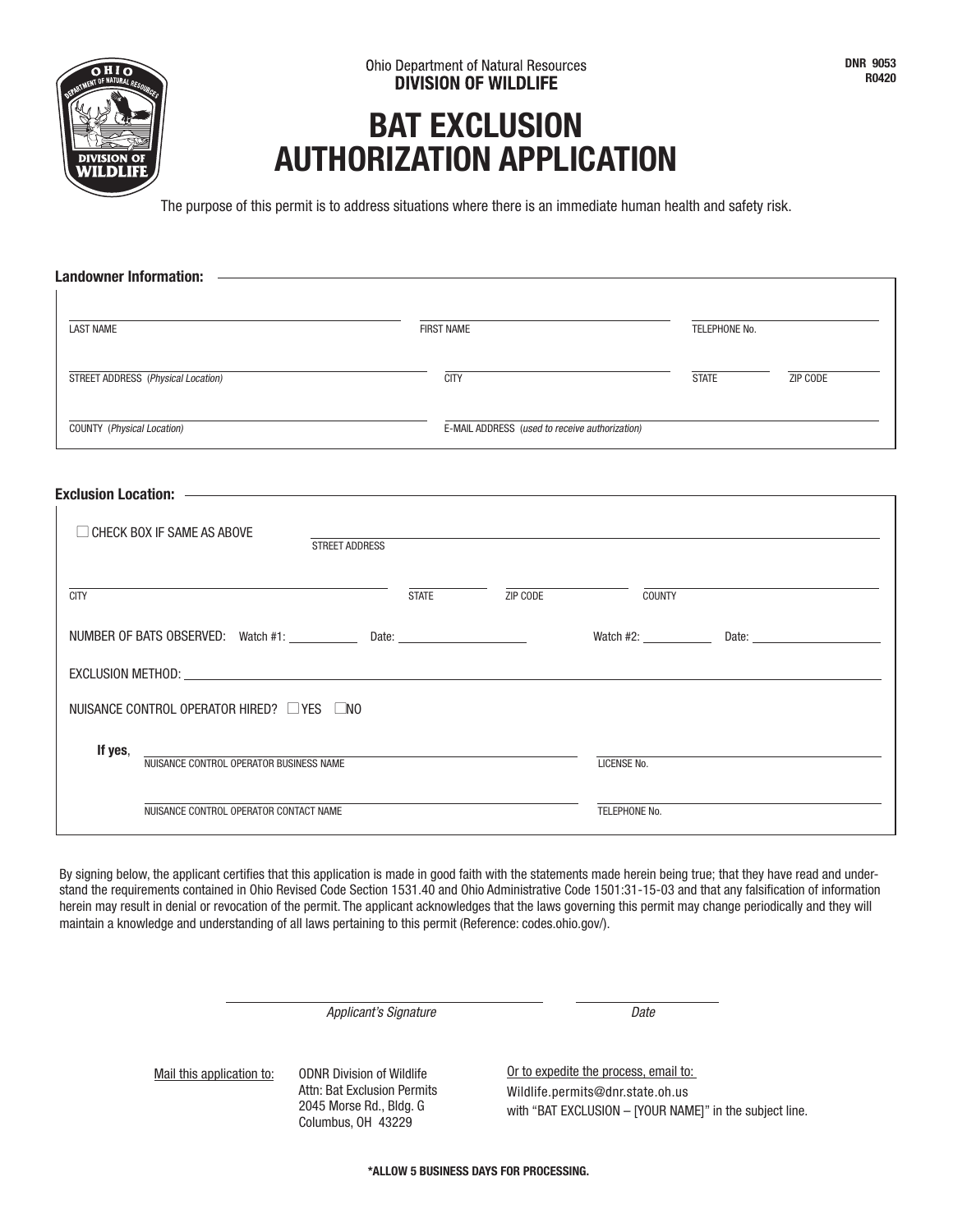## **BAT EXCLUSION AUTHORIZATION APPLICATION**

The purpose of this permit is to address situations where there is an immediate human health and safety risk.

| <b>Landowner Information:</b>                                                    |                   |                                                |               |               |          |
|----------------------------------------------------------------------------------|-------------------|------------------------------------------------|---------------|---------------|----------|
|                                                                                  |                   |                                                |               |               |          |
| <b>LAST NAME</b>                                                                 | <b>FIRST NAME</b> |                                                |               | TELEPHONE No. |          |
| STREET ADDRESS (Physical Location)                                               | <b>CITY</b>       |                                                |               | <b>STATE</b>  | ZIP CODE |
| COUNTY (Physical Location)                                                       |                   | E-MAIL ADDRESS (used to receive authorization) |               |               |          |
|                                                                                  |                   |                                                |               |               |          |
|                                                                                  |                   |                                                |               |               |          |
| $\Box$ CHECK BOX IF SAME AS ABOVE<br><b>STREET ADDRESS</b>                       |                   |                                                |               |               |          |
|                                                                                  |                   |                                                |               |               |          |
| <b>CITY</b>                                                                      |                   | STATE ZIP CODE                                 | <b>COUNTY</b> |               |          |
| NUMBER OF BATS OBSERVED: Watch #1: _____________ Date: _________________________ |                   |                                                |               |               |          |
| EXCLUSION METHOD: EXCLUSION METHOD:                                              |                   |                                                |               |               |          |
| NUISANCE CONTROL OPERATOR HIRED? □ YES □ NO                                      |                   |                                                |               |               |          |
| If yes,                                                                          |                   |                                                |               |               |          |
| NUISANCE CONTROL OPERATOR BUSINESS NAME                                          |                   |                                                | LICENSE No.   |               |          |
| NUISANCE CONTROL OPERATOR CONTACT NAME                                           |                   |                                                | TELEPHONE No. |               |          |

By signing below, the applicant certifies that this application is made in good faith with the statements made herein being true; that they have read and understand the requirements contained in Ohio Revised Code Section 1531.40 and Ohio Administrative Code 1501:31-15-03 and that any falsification of information herein may result in denial or revocation of the permit. The applicant acknowledges that the laws governing this permit may change periodically and they will maintain a knowledge and understanding of all laws pertaining to this permit (Reference: codes.ohio.gov/).

Applicant's Signature data by the Date

Mail this application to: ODNR Division of Wildlife Attn: Bat Exclusion Permits 2045 Morse Rd., Bldg. G Columbus, OH 43229

Or to expedite the process, email to: Wildlife.permits@dnr.state.oh.us with "BAT EXCLUSION – [YOUR NAME]" in the subject line.

**\*ALLOW 5 BUSINESS DAYS FOR PROCESSING.**